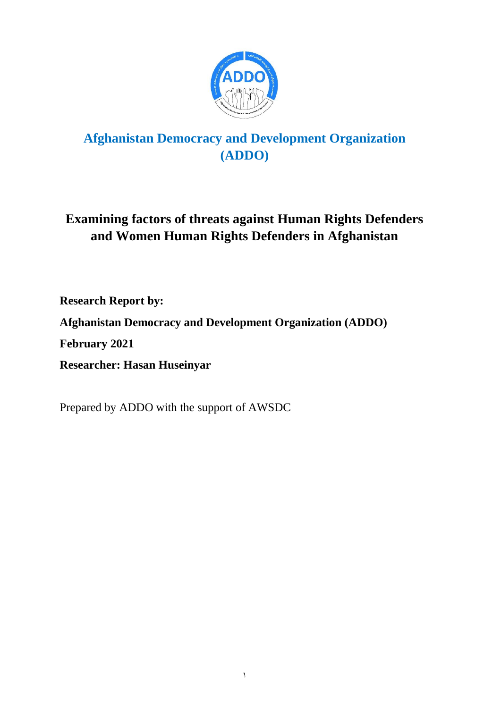

# **Afghanistan Democracy and Development Organization (ADDO)**

# **Examining factors of threats against Human Rights Defenders and Women Human Rights Defenders in Afghanistan**

**Research Report by:** 

**Afghanistan Democracy and Development Organization (ADDO)**

**February 2021**

**Researcher: Hasan Huseinyar**

Prepared by ADDO with the support of AWSDC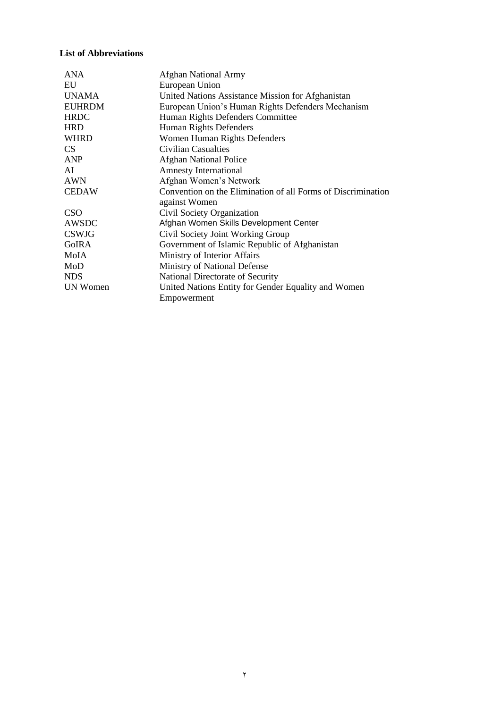### **List of Abbreviations**

| ANA             | <b>Afghan National Army</b>                                  |
|-----------------|--------------------------------------------------------------|
| EU              | European Union                                               |
| <b>UNAMA</b>    | United Nations Assistance Mission for Afghanistan            |
| <b>EUHRDM</b>   | European Union's Human Rights Defenders Mechanism            |
| <b>HRDC</b>     | Human Rights Defenders Committee                             |
| <b>HRD</b>      | <b>Human Rights Defenders</b>                                |
| <b>WHRD</b>     | Women Human Rights Defenders                                 |
| CS              | <b>Civilian Casualties</b>                                   |
| <b>ANP</b>      | <b>Afghan National Police</b>                                |
| AI              | <b>Amnesty International</b>                                 |
| <b>AWN</b>      | Afghan Women's Network                                       |
| <b>CEDAW</b>    | Convention on the Elimination of all Forms of Discrimination |
|                 | against Women                                                |
| <b>CSO</b>      | Civil Society Organization                                   |
| AWSDC           | Afghan Women Skills Development Center                       |
| <b>CSWJG</b>    | Civil Society Joint Working Group                            |
| <b>GoIRA</b>    | Government of Islamic Republic of Afghanistan                |
| MoIA            | Ministry of Interior Affairs                                 |
| MoD             | Ministry of National Defense                                 |
| <b>NDS</b>      | National Directorate of Security                             |
| <b>UN Women</b> | United Nations Entity for Gender Equality and Women          |
|                 | Empowerment                                                  |
|                 |                                                              |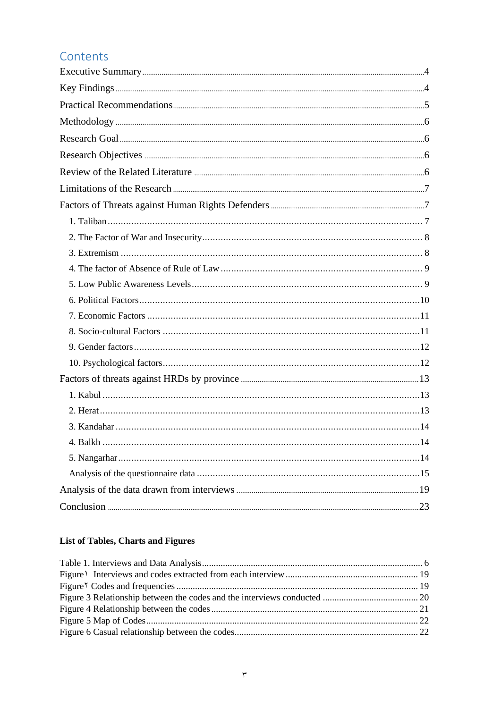# Contents

| 4 Ralkh | 14 |
|---------|----|
|         |    |
|         |    |
|         |    |
|         |    |

# **List of Tables, Charts and Figures**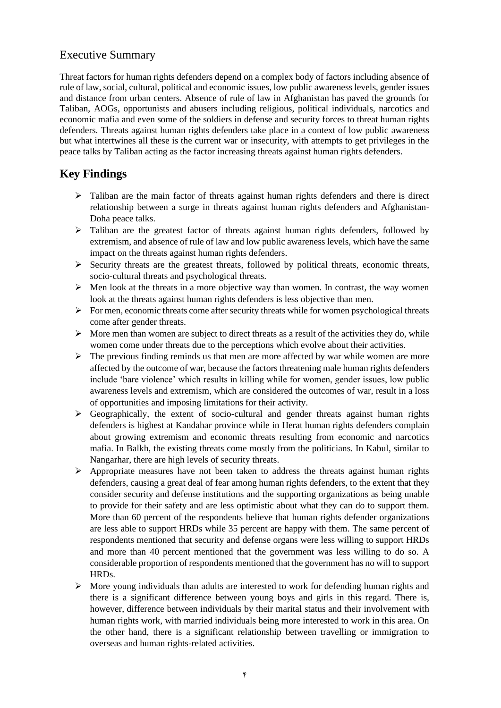# <span id="page-3-0"></span>Executive Summary

Threat factors for human rights defenders depend on a complex body of factors including absence of rule of law, social, cultural, political and economic issues, low public awareness levels, gender issues and distance from urban centers. Absence of rule of law in Afghanistan has paved the grounds for Taliban, AOGs, opportunists and abusers including religious, political individuals, narcotics and economic mafia and even some of the soldiers in defense and security forces to threat human rights defenders. Threats against human rights defenders take place in a context of low public awareness but what intertwines all these is the current war or insecurity, with attempts to get privileges in the peace talks by Taliban acting as the factor increasing threats against human rights defenders.

# <span id="page-3-1"></span>**Key Findings**

- $\triangleright$  Taliban are the main factor of threats against human rights defenders and there is direct relationship between a surge in threats against human rights defenders and Afghanistan-Doha peace talks.
- ➢ Taliban are the greatest factor of threats against human rights defenders, followed by extremism, and absence of rule of law and low public awareness levels, which have the same impact on the threats against human rights defenders.
- $\triangleright$  Security threats are the greatest threats, followed by political threats, economic threats, socio-cultural threats and psychological threats.
- $\triangleright$  Men look at the threats in a more objective way than women. In contrast, the way women look at the threats against human rights defenders is less objective than men.
- $\triangleright$  For men, economic threats come after security threats while for women psychological threats come after gender threats.
- $\triangleright$  More men than women are subject to direct threats as a result of the activities they do, while women come under threats due to the perceptions which evolve about their activities.
- ➢ The previous finding reminds us that men are more affected by war while women are more affected by the outcome of war, because the factors threatening male human rights defenders include 'bare violence' which results in killing while for women, gender issues, low public awareness levels and extremism, which are considered the outcomes of war, result in a loss of opportunities and imposing limitations for their activity.
- $\triangleright$  Geographically, the extent of socio-cultural and gender threats against human rights defenders is highest at Kandahar province while in Herat human rights defenders complain about growing extremism and economic threats resulting from economic and narcotics mafia. In Balkh, the existing threats come mostly from the politicians. In Kabul, similar to Nangarhar, there are high levels of security threats.
- $\triangleright$  Appropriate measures have not been taken to address the threats against human rights defenders, causing a great deal of fear among human rights defenders, to the extent that they consider security and defense institutions and the supporting organizations as being unable to provide for their safety and are less optimistic about what they can do to support them. More than 60 percent of the respondents believe that human rights defender organizations are less able to support HRDs while 35 percent are happy with them. The same percent of respondents mentioned that security and defense organs were less willing to support HRDs and more than 40 percent mentioned that the government was less willing to do so. A considerable proportion of respondents mentioned that the government has no will to support HRDs.
- ➢ More young individuals than adults are interested to work for defending human rights and there is a significant difference between young boys and girls in this regard. There is, however, difference between individuals by their marital status and their involvement with human rights work, with married individuals being more interested to work in this area. On the other hand, there is a significant relationship between travelling or immigration to overseas and human rights-related activities.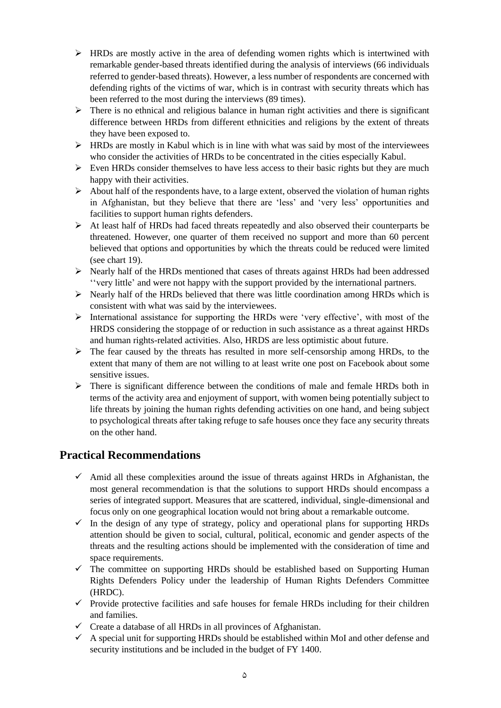- $\triangleright$  HRDs are mostly active in the area of defending women rights which is intertwined with remarkable gender-based threats identified during the analysis of interviews (66 individuals referred to gender-based threats). However, a less number of respondents are concerned with defending rights of the victims of war, which is in contrast with security threats which has been referred to the most during the interviews (89 times).
- $\triangleright$  There is no ethnical and religious balance in human right activities and there is significant difference between HRDs from different ethnicities and religions by the extent of threats they have been exposed to.
- $\triangleright$  HRDs are mostly in Kabul which is in line with what was said by most of the interviewees who consider the activities of HRDs to be concentrated in the cities especially Kabul.
- $\triangleright$  Even HRDs consider themselves to have less access to their basic rights but they are much happy with their activities.
- $\triangleright$  About half of the respondents have, to a large extent, observed the violation of human rights in Afghanistan, but they believe that there are 'less' and 'very less' opportunities and facilities to support human rights defenders.
- $\triangleright$  At least half of HRDs had faced threats repeatedly and also observed their counterparts be threatened. However, one quarter of them received no support and more than 60 percent believed that options and opportunities by which the threats could be reduced were limited (see chart 19).
- ➢ Nearly half of the HRDs mentioned that cases of threats against HRDs had been addressed ''very little' and were not happy with the support provided by the international partners.
- $\triangleright$  Nearly half of the HRDs believed that there was little coordination among HRDs which is consistent with what was said by the interviewees.
- ➢ International assistance for supporting the HRDs were 'very effective', with most of the HRDS considering the stoppage of or reduction in such assistance as a threat against HRDs and human rights-related activities. Also, HRDS are less optimistic about future.
- $\triangleright$  The fear caused by the threats has resulted in more self-censorship among HRDs, to the extent that many of them are not willing to at least write one post on Facebook about some sensitive issues.
- ➢ There is significant difference between the conditions of male and female HRDs both in terms of the activity area and enjoyment of support, with women being potentially subject to life threats by joining the human rights defending activities on one hand, and being subject to psychological threats after taking refuge to safe houses once they face any security threats on the other hand.

# <span id="page-4-0"></span>**Practical Recommendations**

- $\checkmark$  Amid all these complexities around the issue of threats against HRDs in Afghanistan, the most general recommendation is that the solutions to support HRDs should encompass a series of integrated support. Measures that are scattered, individual, single-dimensional and focus only on one geographical location would not bring about a remarkable outcome.
- $\checkmark$  In the design of any type of strategy, policy and operational plans for supporting HRDs attention should be given to social, cultural, political, economic and gender aspects of the threats and the resulting actions should be implemented with the consideration of time and space requirements.
- $\checkmark$  The committee on supporting HRDs should be established based on Supporting Human Rights Defenders Policy under the leadership of Human Rights Defenders Committee (HRDC).
- $\checkmark$  Provide protective facilities and safe houses for female HRDs including for their children and families.
- ✓ Create a database of all HRDs in all provinces of Afghanistan.
- $\checkmark$  A special unit for supporting HRDs should be established within MoI and other defense and security institutions and be included in the budget of FY 1400.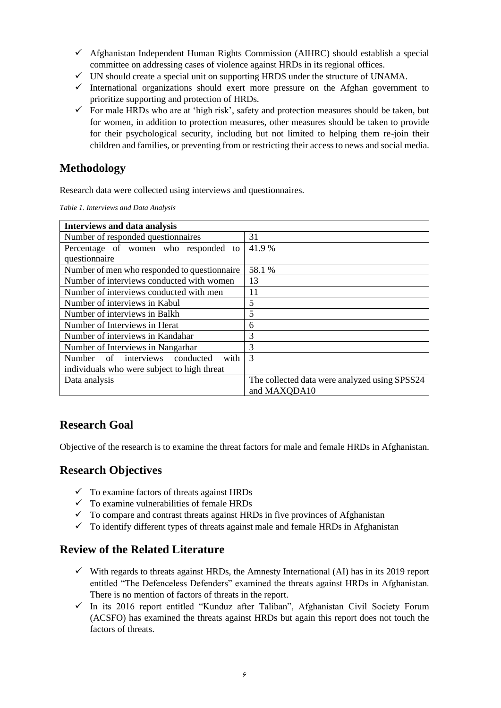- $\checkmark$  Afghanistan Independent Human Rights Commission (AIHRC) should establish a special committee on addressing cases of violence against HRDs in its regional offices.
- ✓ UN should create a special unit on supporting HRDS under the structure of UNAMA.
- $\checkmark$  International organizations should exert more pressure on the Afghan government to prioritize supporting and protection of HRDs.
- $\checkmark$  For male HRDs who are at 'high risk', safety and protection measures should be taken, but for women, in addition to protection measures, other measures should be taken to provide for their psychological security, including but not limited to helping them re-join their children and families, or preventing from or restricting their access to news and social media.

# <span id="page-5-0"></span>**Methodology**

Research data were collected using interviews and questionnaires.

<span id="page-5-4"></span>*Table 1. Interviews and Data Analysis*

| Interviews and data analysis                 |                                               |  |
|----------------------------------------------|-----------------------------------------------|--|
| Number of responded questionnaires           | 31                                            |  |
| Percentage of women who responded to         | 41.9 %                                        |  |
| questionnaire                                |                                               |  |
| Number of men who responded to question aire | 58.1 %                                        |  |
| Number of interviews conducted with women    | 13                                            |  |
| Number of interviews conducted with men      | 11                                            |  |
| Number of interviews in Kabul                | 5                                             |  |
| Number of interviews in Balkh                | 5                                             |  |
| Number of Interviews in Herat                | 6                                             |  |
| Number of interviews in Kandahar             | 3                                             |  |
| Number of Interviews in Nangarhar            | 3                                             |  |
| Number of interviews conducted<br>with       | 3                                             |  |
| individuals who were subject to high threat  |                                               |  |
| Data analysis                                | The collected data were analyzed using SPSS24 |  |
|                                              | and MAXQDA10                                  |  |

# <span id="page-5-1"></span>**Research Goal**

Objective of the research is to examine the threat factors for male and female HRDs in Afghanistan.

## <span id="page-5-2"></span>**Research Objectives**

- $\checkmark$  To examine factors of threats against HRDs
- $\checkmark$  To examine vulnerabilities of female HRDs
- $\checkmark$  To compare and contrast threats against HRDs in five provinces of Afghanistan
- $\checkmark$  To identify different types of threats against male and female HRDs in Afghanistan

# <span id="page-5-3"></span>**Review of the Related Literature**

- $\checkmark$  With regards to threats against HRDs, the Amnesty International (AI) has in its 2019 report entitled "The Defenceless Defenders" examined the threats against HRDs in Afghanistan. There is no mention of factors of threats in the report.
- ✓ In its 2016 report entitled "Kunduz after Taliban", Afghanistan Civil Society Forum (ACSFO) has examined the threats against HRDs but again this report does not touch the factors of threats.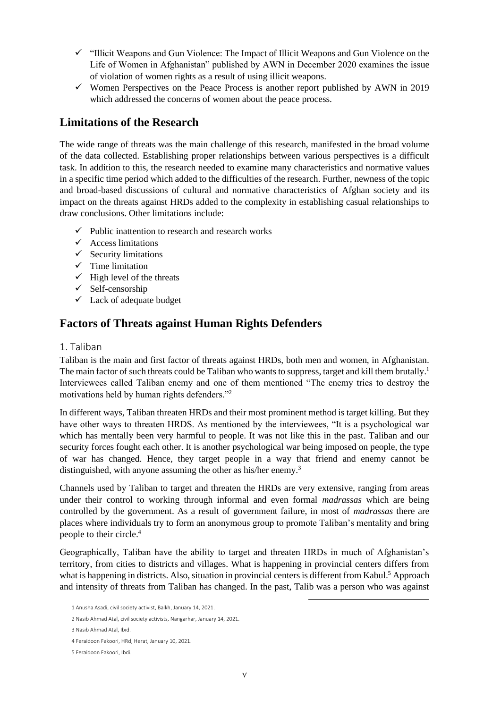- ✓ "Illicit Weapons and Gun Violence: The Impact of Illicit Weapons and Gun Violence on the Life of Women in Afghanistan" published by AWN in December 2020 examines the issue of violation of women rights as a result of using illicit weapons.
- $\checkmark$  Women Perspectives on the Peace Process is another report published by AWN in 2019 which addressed the concerns of women about the peace process.

# <span id="page-6-0"></span>**Limitations of the Research**

The wide range of threats was the main challenge of this research, manifested in the broad volume of the data collected. Establishing proper relationships between various perspectives is a difficult task. In addition to this, the research needed to examine many characteristics and normative values in a specific time period which added to the difficulties of the research. Further, newness of the topic and broad-based discussions of cultural and normative characteristics of Afghan society and its impact on the threats against HRDs added to the complexity in establishing casual relationships to draw conclusions. Other limitations include:

- $\checkmark$  Public inattention to research and research works
- $\checkmark$  Access limitations
- $\checkmark$  Security limitations
- $\checkmark$  Time limitation
- $\checkmark$  High level of the threats
- ✓ Self-censorship
- $\checkmark$  Lack of adequate budget

# <span id="page-6-1"></span>**Factors of Threats against Human Rights Defenders**

### <span id="page-6-2"></span>1. Taliban

Taliban is the main and first factor of threats against HRDs, both men and women, in Afghanistan. The main factor of such threats could be Taliban who wants to suppress, target and kill them brutally.<sup>1</sup> Interviewees called Taliban enemy and one of them mentioned "The enemy tries to destroy the motivations held by human rights defenders."<sup>2</sup>

In different ways, Taliban threaten HRDs and their most prominent method is target killing. But they have other ways to threaten HRDS. As mentioned by the interviewees, "It is a psychological war which has mentally been very harmful to people. It was not like this in the past. Taliban and our security forces fought each other. It is another psychological war being imposed on people, the type of war has changed. Hence, they target people in a way that friend and enemy cannot be distinguished, with anyone assuming the other as his/her enemy.<sup>3</sup>

Channels used by Taliban to target and threaten the HRDs are very extensive, ranging from areas under their control to working through informal and even formal *madrassas* which are being controlled by the government. As a result of government failure, in most of *madrassas* there are places where individuals try to form an anonymous group to promote Taliban's mentality and bring people to their circle.<sup>4</sup>

Geographically, Taliban have the ability to target and threaten HRDs in much of Afghanistan's territory, from cities to districts and villages. What is happening in provincial centers differs from what is happening in districts. Also, situation in provincial centers is different from Kabul.<sup>5</sup> Approach and intensity of threats from Taliban has changed. In the past, Talib was a person who was against

<sup>1</sup> Anusha Asadi, civil society activist, Balkh, January 14, 2021.

<sup>2</sup> Nasib Ahmad Atal, civil society activists, Nangarhar, January 14, 2021.

<sup>3</sup> Nasib Ahmad Atal, Ibid.

<sup>4</sup> Feraidoon Fakoori, HRd, Herat, January 10, 2021.

<sup>5</sup> Feraidoon Fakoori, Ibdi.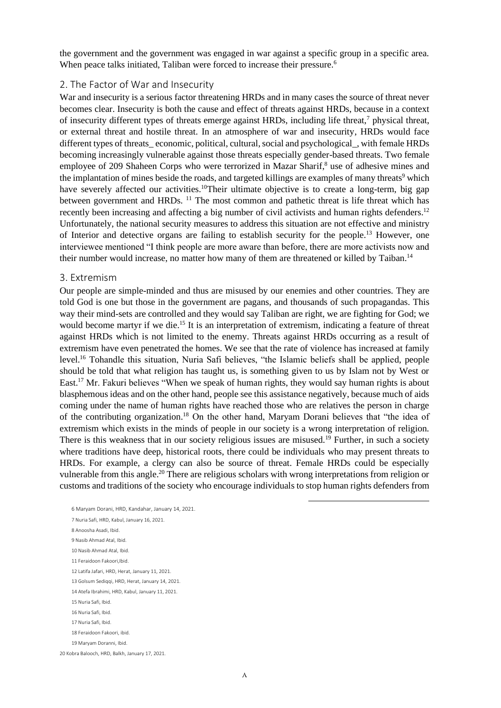the government and the government was engaged in war against a specific group in a specific area. When peace talks initiated, Taliban were forced to increase their pressure.<sup>6</sup>

#### <span id="page-7-0"></span>2. The Factor of War and Insecurity

War and insecurity is a serious factor threatening HRDs and in many cases the source of threat never becomes clear. Insecurity is both the cause and effect of threats against HRDs, because in a context of insecurity different types of threats emerge against HRDs, including life threat,<sup>7</sup> physical threat, or external threat and hostile threat. In an atmosphere of war and insecurity, HRDs would face different types of threats economic, political, cultural, social and psychological, with female HRDs becoming increasingly vulnerable against those threats especially gender-based threats. Two female employee of 209 Shaheen Corps who were terrorized in Mazar Sharif,<sup>8</sup> use of adhesive mines and the implantation of mines beside the roads, and targeted killings are examples of many threats<sup>9</sup> which have severely affected our activities.<sup>10</sup>Their ultimate objective is to create a long-term, big gap between government and HRDs. <sup>11</sup> The most common and pathetic threat is life threat which has recently been increasing and affecting a big number of civil activists and human rights defenders.<sup>12</sup> Unfortunately, the national security measures to address this situation are not effective and ministry of Interior and detective organs are failing to establish security for the people.<sup>13</sup> However, one interviewee mentioned "I think people are more aware than before, there are more activists now and their number would increase, no matter how many of them are threatened or killed by Taiban.<sup>14</sup>

#### <span id="page-7-1"></span>3. Extremism

Our people are simple-minded and thus are misused by our enemies and other countries. They are told God is one but those in the government are pagans, and thousands of such propagandas. This way their mind-sets are controlled and they would say Taliban are right, we are fighting for God; we would become martyr if we die.<sup>15</sup> It is an interpretation of extremism, indicating a feature of threat against HRDs which is not limited to the enemy. Threats against HRDs occurring as a result of extremism have even penetrated the homes. We see that the rate of violence has increased at family level.<sup>16</sup> Tohandle this situation, Nuria Safi believes, "the Islamic beliefs shall be applied, people should be told that what religion has taught us, is something given to us by Islam not by West or East.<sup>17</sup> Mr. Fakuri believes "When we speak of human rights, they would say human rights is about blasphemous ideas and on the other hand, people see this assistance negatively, because much of aids coming under the name of human rights have reached those who are relatives the person in charge of the contributing organization.<sup>18</sup> On the other hand, Maryam Dorani believes that "the idea of extremism which exists in the minds of people in our society is a wrong interpretation of religion. There is this weakness that in our society religious issues are misused.<sup>19</sup> Further, in such a society where traditions have deep, historical roots, there could be individuals who may present threats to HRDs. For example, a clergy can also be source of threat. Female HRDs could be especially vulnerable from this angle.<sup>20</sup> There are religious scholars with wrong interpretations from religion or customs and traditions of the society who encourage individuals to stop human rights defenders from

 Maryam Dorani, HRD, Kandahar, January 14, 2021. Nuria Safi, HRD, Kabul, January 16, 2021. Anoosha Asadi, Ibid. Nasib Ahmad Atal, Ibid. Nasib Ahmad Atal, Ibid. Feraidoon Fakoori,Ibid. Latifa Jafari, HRD, Herat, January 11, 2021. 13 Golsum Sediggi, HRD, Herat, January 14, 2021. Atefa Ibrahimi, HRD, Kabul, January 11, 2021. Nuria Safi, Ibid. Nuria Safi, Ibid. Nuria Safi, Ibid. Feraidoon Fakoori, ibid. Maryam Doranni, Ibid.

20 Kobra Balooch, HRD, Balkh, January 17, 2021.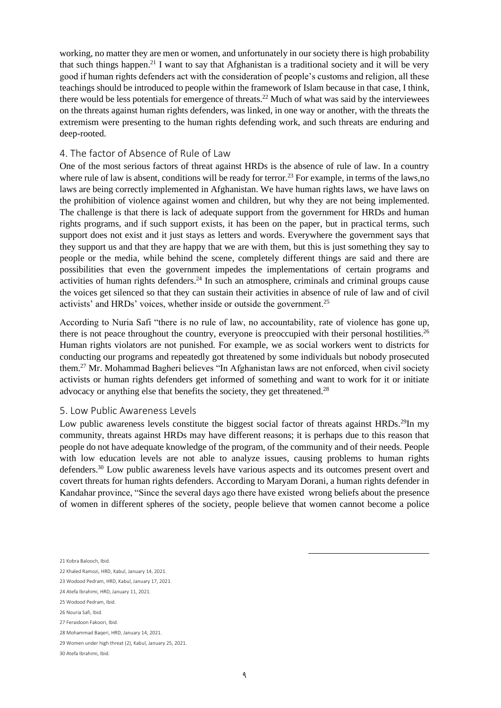working, no matter they are men or women, and unfortunately in our society there is high probability that such things happen.<sup>21</sup> I want to say that Afghanistan is a traditional society and it will be very good if human rights defenders act with the consideration of people's customs and religion, all these teachings should be introduced to people within the framework of Islam because in that case, I think, there would be less potentials for emergence of threats.<sup>22</sup> Much of what was said by the interviewees on the threats against human rights defenders, was linked, in one way or another, with the threats the extremism were presenting to the human rights defending work, and such threats are enduring and deep-rooted.

### <span id="page-8-0"></span>4. The factor of Absence of Rule of Law

One of the most serious factors of threat against HRDs is the absence of rule of law. In a country where rule of law is absent, conditions will be ready for terror.<sup>23</sup> For example, in terms of the laws,no laws are being correctly implemented in Afghanistan. We have human rights laws, we have laws on the prohibition of violence against women and children, but why they are not being implemented. The challenge is that there is lack of adequate support from the government for HRDs and human rights programs, and if such support exists, it has been on the paper, but in practical terms, such support does not exist and it just stays as letters and words. Everywhere the government says that they support us and that they are happy that we are with them, but this is just something they say to people or the media, while behind the scene, completely different things are said and there are possibilities that even the government impedes the implementations of certain programs and activities of human rights defenders.<sup>24</sup> In such an atmosphere, criminals and criminal groups cause the voices get silenced so that they can sustain their activities in absence of rule of law and of civil activists' and HRDs' voices, whether inside or outside the government.<sup>25</sup>

According to Nuria Safi "there is no rule of law, no accountability, rate of violence has gone up, there is not peace throughout the country, everyone is preoccupied with their personal hostilities.<sup>26</sup> Human rights violators are not punished. For example, we as social workers went to districts for conducting our programs and repeatedly got threatened by some individuals but nobody prosecuted them.<sup>27</sup> Mr. Mohammad Bagheri believes "In Afghanistan laws are not enforced, when civil society activists or human rights defenders get informed of something and want to work for it or initiate advocacy or anything else that benefits the society, they get threatened.<sup>28</sup>

#### <span id="page-8-1"></span>5. Low Public Awareness Levels

Low public awareness levels constitute the biggest social factor of threats against HRDs.<sup>29</sup>In my community, threats against HRDs may have different reasons; it is perhaps due to this reason that people do not have adequate knowledge of the program, of the community and of their needs. People with low education levels are not able to analyze issues, causing problems to human rights defenders.<sup>30</sup> Low public awareness levels have various aspects and its outcomes present overt and covert threats for human rights defenders. According to Maryam Dorani, a human rights defender in Kandahar province, "Since the several days ago there have existed wrong beliefs about the presence of women in different spheres of the society, people believe that women cannot become a police

- 23 Wodood Pedram, HRD, Kabul, January 17, 2021.
- 24 Atefa Ibrahimi, HRD, January 11, 2021.

<sup>21</sup> Kobra Balooch, Ibid.

<sup>22</sup> Khaled Ramozi, HRD, Kabul, January 14, 2021.

<sup>25</sup> Wodood Pedram, Ibid.

<sup>26</sup> Nouria Safi, Ibid.

<sup>27</sup> Feraidoon Fakoori, Ibid.

<sup>28</sup> Mohammad Baqeri, HRD, January 14, 2021.

<sup>29</sup> Women under high threat (2), Kabul, January 25, 2021.

<sup>30</sup> Atefa Ibrahimi, Ibid.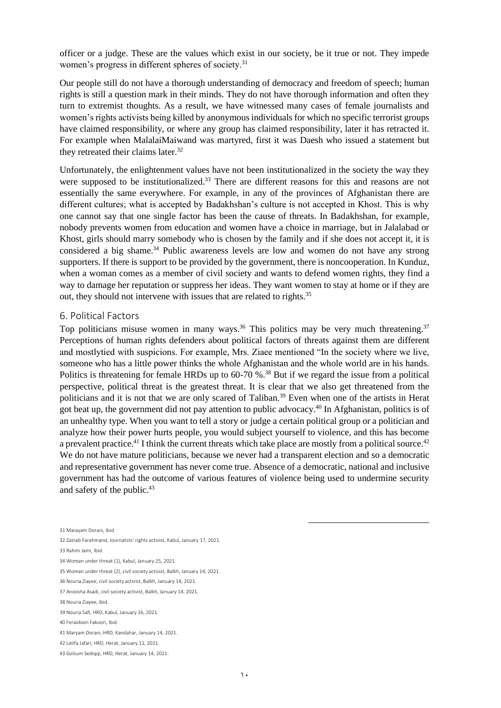officer or a judge. These are the values which exist in our society, be it true or not. They impede women's progress in different spheres of society.<sup>31</sup>

Our people still do not have a thorough understanding of democracy and freedom of speech; human rights is still a question mark in their minds. They do not have thorough information and often they turn to extremist thoughts. As a result, we have witnessed many cases of female journalists and women's rights activists being killed by anonymous individuals for which no specific terrorist groups have claimed responsibility, or where any group has claimed responsibility, later it has retracted it. For example when MalalaiMaiwand was martyred, first it was Daesh who issued a statement but they retreated their claims later.<sup>32</sup>

Unfortunately, the enlightenment values have not been institutionalized in the society the way they were supposed to be institutionalized.<sup>33</sup> There are different reasons for this and reasons are not essentially the same everywhere. For example, in any of the provinces of Afghanistan there are different cultures; what is accepted by Badakhshan's culture is not accepted in Khost. This is why one cannot say that one single factor has been the cause of threats. In Badakhshan, for example, nobody prevents women from education and women have a choice in marriage, but in Jalalabad or Khost, girls should marry somebody who is chosen by the family and if she does not accept it, it is considered a big shame.<sup>34</sup> Public awareness levels are low and women do not have any strong supporters. If there is support to be provided by the government, there is noncooperation. In Kunduz, when a woman comes as a member of civil society and wants to defend women rights, they find a way to damage her reputation or suppress her ideas. They want women to stay at home or if they are out, they should not intervene with issues that are related to rights.<sup>35</sup>

#### <span id="page-9-0"></span>6. Political Factors

Top politicians misuse women in many ways.<sup>36</sup> This politics may be very much threatening.<sup>37</sup> Perceptions of human rights defenders about political factors of threats against them are different and mostlytied with suspicions. For example, Mrs. Ziaee mentioned "In the society where we live, someone who has a little power thinks the whole Afghanistan and the whole world are in his hands. Politics is threatening for female HRDs up to 60-70 %<sup>38</sup> But if we regard the issue from a political perspective, political threat is the greatest threat. It is clear that we also get threatened from the politicians and it is not that we are only scared of Taliban.<sup>39</sup> Even when one of the artists in Herat got beat up, the government did not pay attention to public advocacy.<sup>40</sup> In Afghanistan, politics is of an unhealthy type. When you want to tell a story or judge a certain political group or a politician and analyze how their power hurts people, you would subject yourself to violence, and this has become a prevalent practice.<sup>41</sup> I think the current threats which take place are mostly from a political source.<sup>42</sup> We do not have mature politicians, because we never had a transparent election and so a democratic and representative government has never come true. Absence of a democratic, national and inclusive government has had the outcome of various features of violence being used to undermine security and safety of the public.<sup>43</sup>

31 Marayam Dorani, Ibid.

33 Rahim Jami, Ibid.

<sup>32</sup> Zainab Farahmand, Journalists' rights activist, Kabul, January 17, 2021.

<sup>34</sup> Woman under threat (1), Kabul, January 25, 2021.

<sup>35</sup> Woman under threat (2), civil society activist, Balkh, January 14, 2021.

<sup>36</sup> Nouria Ziayee, civil society activist, Balkh, January 14, 2021.

<sup>37</sup> Anoosha Asadi, civil society activist, Balkh, January 14, 2021.

<sup>38</sup> Nouria Ziayee, Ibid.

<sup>39</sup> Nouria Safi, HRD, Kabul, January 16, 2021.

<sup>40</sup> Feraidoon Fakoori, Ibid.

<sup>41</sup> Maryam Dorani, HRD, Kandahar, January 14, 2021.

<sup>42</sup> Latifa Jafari, HRD, Herat, January 11, 2021.

<sup>43</sup> Golsum Sediqqi, HRD, Herat, January 14, 2021.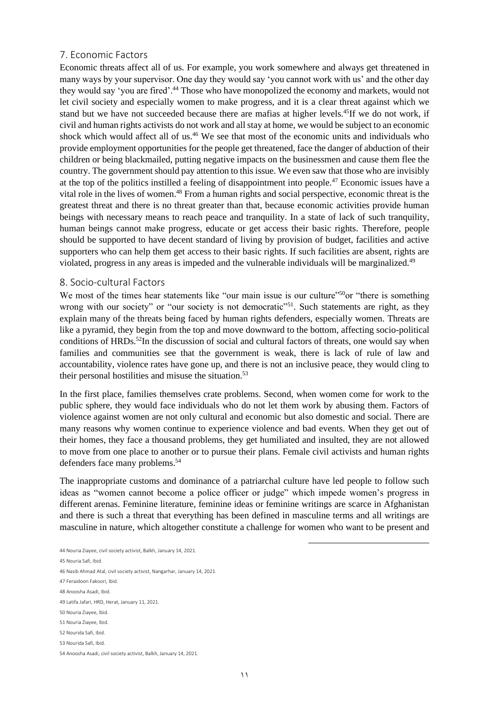### <span id="page-10-0"></span>7. Economic Factors

Economic threats affect all of us. For example, you work somewhere and always get threatened in many ways by your supervisor. One day they would say 'you cannot work with us' and the other day they would say 'you are fired'.<sup>44</sup> Those who have monopolized the economy and markets, would not let civil society and especially women to make progress, and it is a clear threat against which we stand but we have not succeeded because there are mafias at higher levels.<sup>45</sup>If we do not work, if civil and human rights activists do not work and all stay at home, we would be subject to an economic shock which would affect all of us.<sup>46</sup> We see that most of the economic units and individuals who provide employment opportunities for the people get threatened, face the danger of abduction of their children or being blackmailed, putting negative impacts on the businessmen and cause them flee the country. The government should pay attention to this issue. We even saw that those who are invisibly at the top of the politics instilled a feeling of disappointment into people.<sup>47</sup> Economic issues have a vital role in the lives of women.<sup>48</sup> From a human rights and social perspective, economic threat is the greatest threat and there is no threat greater than that, because economic activities provide human beings with necessary means to reach peace and tranquility. In a state of lack of such tranquility, human beings cannot make progress, educate or get access their basic rights. Therefore, people should be supported to have decent standard of living by provision of budget, facilities and active supporters who can help them get access to their basic rights. If such facilities are absent, rights are violated, progress in any areas is impeded and the vulnerable individuals will be marginalized.<sup>49</sup>

### <span id="page-10-1"></span>8. Socio-cultural Factors

We most of the times hear statements like "our main issue is our culture"<sup>50</sup>or "there is something wrong with our society" or "our society is not democratic"<sup>51</sup>. Such statements are right, as they explain many of the threats being faced by human rights defenders, especially women. Threats are like a pyramid, they begin from the top and move downward to the bottom, affecting socio-political conditions of HRDs.<sup>52</sup>In the discussion of social and cultural factors of threats, one would say when families and communities see that the government is weak, there is lack of rule of law and accountability, violence rates have gone up, and there is not an inclusive peace, they would cling to their personal hostilities and misuse the situation.<sup>53</sup>

In the first place, families themselves crate problems. Second, when women come for work to the public sphere, they would face individuals who do not let them work by abusing them. Factors of violence against women are not only cultural and economic but also domestic and social. There are many reasons why women continue to experience violence and bad events. When they get out of their homes, they face a thousand problems, they get humiliated and insulted, they are not allowed to move from one place to another or to pursue their plans. Female civil activists and human rights defenders face many problems.<sup>54</sup>

The inappropriate customs and dominance of a patriarchal culture have led people to follow such ideas as "women cannot become a police officer or judge" which impede women's progress in different arenas. Feminine literature, feminine ideas or feminine writings are scarce in Afghanistan and there is such a threat that everything has been defined in masculine terms and all writings are masculine in nature, which altogether constitute a challenge for women who want to be present and

44 Nouria Ziayee, civil society activist, Balkh, January 14, 2021.

45 Nouria Safi, Ibid.

46 Nasib Ahmad Atal, civil society activist, Nangarhar, January 14, 2021.

- 47 Feraidoon Fakoori, Ibid.
- 48 Anoosha Asadi, Ibid.

49 Latifa Jafari, HRD, Herat, January 11, 2021.

50 Nouria Ziayee, Ibid.

52 Nourida Safi, Ibid.

<sup>51</sup> Nouria Ziayee, Ibid.

<sup>53</sup> Nourida Safi, Ibid.

<sup>54</sup> Anoosha Asadi, civil society activist, Balkh, January 14, 2021.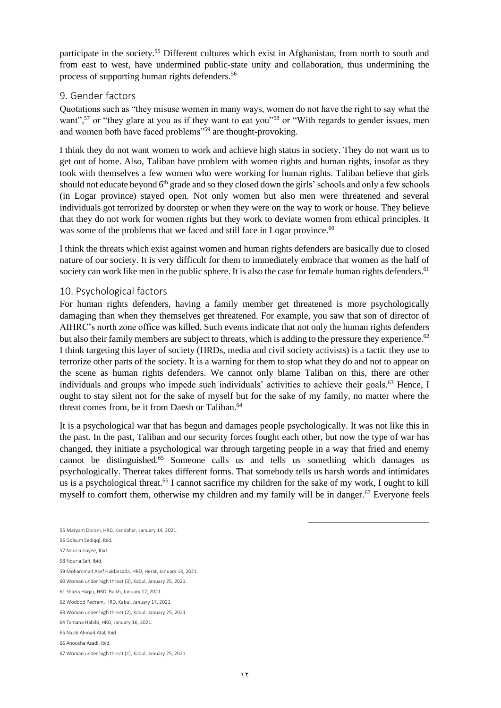participate in the society.<sup>55</sup> Different cultures which exist in Afghanistan, from north to south and from east to west, have undermined public-state unity and collaboration, thus undermining the process of supporting human rights defenders.<sup>56</sup>

### <span id="page-11-0"></span>9. Gender factors

Quotations such as "they misuse women in many ways, women do not have the right to say what the want",<sup>57</sup> or "they glare at you as if they want to eat you"<sup>58</sup> or "With regards to gender issues, men and women both have faced problems"<sup>59</sup> are thought-provoking.

I think they do not want women to work and achieve high status in society. They do not want us to get out of home. Also, Taliban have problem with women rights and human rights, insofar as they took with themselves a few women who were working for human rights. Taliban believe that girls should not educate beyond 6<sup>th</sup> grade and so they closed down the girls' schools and only a few schools (in Logar province) stayed open. Not only women but also men were threatened and several individuals got terrorized by doorstep or when they were on the way to work or house. They believe that they do not work for women rights but they work to deviate women from ethical principles. It was some of the problems that we faced and still face in Logar province.<sup>60</sup>

I think the threats which exist against women and human rights defenders are basically due to closed nature of our society. It is very difficult for them to immediately embrace that women as the half of society can work like men in the public sphere. It is also the case for female human rights defenders.<sup>61</sup>

### <span id="page-11-1"></span>10. Psychological factors

For human rights defenders, having a family member get threatened is more psychologically damaging than when they themselves get threatened. For example, you saw that son of director of AIHRC's north zone office was killed. Such events indicate that not only the human rights defenders but also their family members are subject to threats, which is adding to the pressure they experience.<sup>62</sup> I think targeting this layer of society (HRDs, media and civil society activists) is a tactic they use to terrorize other parts of the society. It is a warning for them to stop what they do and not to appear on the scene as human rights defenders. We cannot only blame Taliban on this, there are other individuals and groups who impede such individuals' activities to achieve their goals.<sup>63</sup> Hence, I ought to stay silent not for the sake of myself but for the sake of my family, no matter where the threat comes from, be it from Daesh or Taliban.<sup>64</sup>

It is a psychological war that has begun and damages people psychologically. It was not like this in the past. In the past, Taliban and our security forces fought each other, but now the type of war has changed, they initiate a psychological war through targeting people in a way that fried and enemy cannot be distinguished.<sup>65</sup> Someone calls us and tells us something which damages us psychologically. Thereat takes different forms. That somebody tells us harsh words and intimidates us is a psychological threat.<sup>66</sup> I cannot sacrifice my children for the sake of my work, I ought to kill myself to comfort them, otherwise my children and my family will be in danger.<sup>67</sup> Everyone feels

- 55 Maryam Dorani, HRD, Kandahar, January 14, 2021.
- 56 Golsum Sediqqi, Ibid.
- 57 Nouria ziayee, Ibid.
- 58 Nouria Safi, Ibid.
- 59 Mohammad Asef Haidarzada, HRD, Herat, January 13, 2021.
- 60 Woman under high threat (3), Kabul, January 25, 2021.
- 61 Shazia Haqju, HRD, Balkh, January 17, 2021.
- 62 Wodood Pedram, HRD, Kabul, January 17, 2021.
- 63 Woman under high threat (2), Kabul, January 25, 2021.
- 64 Tamana Habibi, HRD, January 16, 2021.
- 65 Nasib Ahmad Atal, Ibid.
- 66 Anoosha Asadi, Ibid.

<sup>67</sup> Woman under high threat (1), Kabul, January 25, 2021.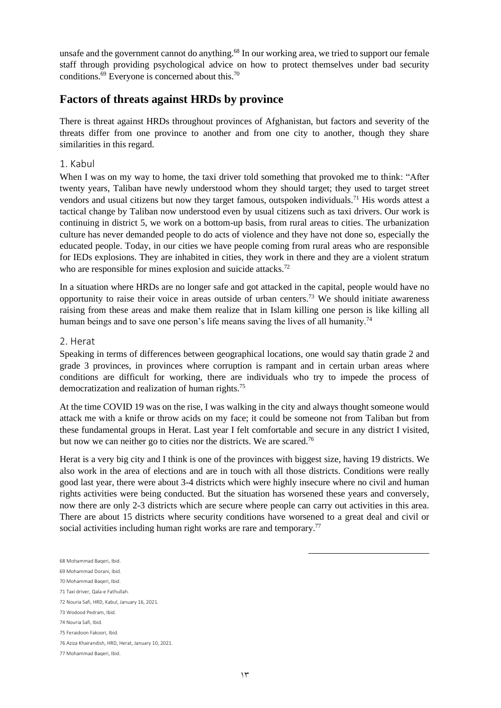unsafe and the government cannot do anything.<sup>68</sup> In our working area, we tried to support our female staff through providing psychological advice on how to protect themselves under bad security conditions. $69$  Everyone is concerned about this.<sup>70</sup>

### <span id="page-12-0"></span>**Factors of threats against HRDs by province**

There is threat against HRDs throughout provinces of Afghanistan, but factors and severity of the threats differ from one province to another and from one city to another, though they share similarities in this regard.

### <span id="page-12-1"></span>1. Kabul

When I was on my way to home, the taxi driver told something that provoked me to think: "After twenty years, Taliban have newly understood whom they should target; they used to target street vendors and usual citizens but now they target famous, outspoken individuals.<sup>71</sup> His words attest a tactical change by Taliban now understood even by usual citizens such as taxi drivers. Our work is continuing in district 5, we work on a bottom-up basis, from rural areas to cities. The urbanization culture has never demanded people to do acts of violence and they have not done so, especially the educated people. Today, in our cities we have people coming from rural areas who are responsible for IEDs explosions. They are inhabited in cities, they work in there and they are a violent stratum who are responsible for mines explosion and suicide attacks.<sup>72</sup>

In a situation where HRDs are no longer safe and got attacked in the capital, people would have no opportunity to raise their voice in areas outside of urban centers.<sup>73</sup> We should initiate awareness raising from these areas and make them realize that in Islam killing one person is like killing all human beings and to save one person's life means saving the lives of all humanity.<sup>74</sup>

#### <span id="page-12-2"></span>2. Herat

Speaking in terms of differences between geographical locations, one would say thatin grade 2 and grade 3 provinces, in provinces where corruption is rampant and in certain urban areas where conditions are difficult for working, there are individuals who try to impede the process of democratization and realization of human rights.<sup>75</sup>

At the time COVID 19 was on the rise, I was walking in the city and always thought someone would attack me with a knife or throw acids on my face; it could be someone not from Taliban but from these fundamental groups in Herat. Last year I felt comfortable and secure in any district I visited, but now we can neither go to cities nor the districts. We are scared.<sup>76</sup>

Herat is a very big city and I think is one of the provinces with biggest size, having 19 districts. We also work in the area of elections and are in touch with all those districts. Conditions were really good last year, there were about 3-4 districts which were highly insecure where no civil and human rights activities were being conducted. But the situation has worsened these years and conversely, now there are only 2-3 districts which are secure where people can carry out activities in this area. There are about 15 districts where security conditions have worsened to a great deal and civil or social activities including human right works are rare and temporary.<sup>77</sup>

- 69 Mohammad Dorani, Ibid.
- 70 Mohammad Baqeri, Ibid.

<sup>68</sup> Mohammad Baqeri, Ibid.

<sup>71</sup> Taxi driver, Qala-e Fathullah.

<sup>72</sup> Nouria Safi, HRD, Kabul, January 16, 2021.

<sup>73</sup> Wodood Pedram, Ibid.

<sup>74</sup> Nouria Safi, Ibid.

<sup>75</sup> Feraidoon Fakoori, Ibid.

<sup>76</sup> Aziza Khairandish, HRD, Herat, January 10, 2021.

<sup>77</sup> Mohammad Baqeri, Ibid.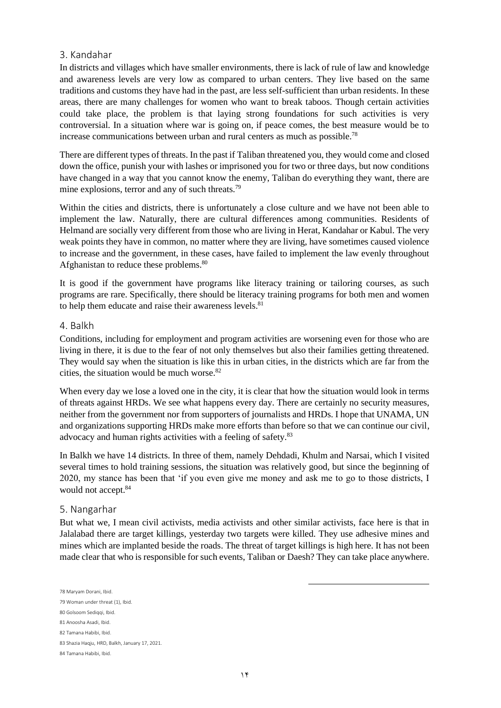### <span id="page-13-0"></span>3. Kandahar

In districts and villages which have smaller environments, there is lack of rule of law and knowledge and awareness levels are very low as compared to urban centers. They live based on the same traditions and customs they have had in the past, are less self-sufficient than urban residents. In these areas, there are many challenges for women who want to break taboos. Though certain activities could take place, the problem is that laying strong foundations for such activities is very controversial. In a situation where war is going on, if peace comes, the best measure would be to increase communications between urban and rural centers as much as possible.<sup>78</sup>

There are different types of threats. In the past if Taliban threatened you, they would come and closed down the office, punish your with lashes or imprisoned you for two or three days, but now conditions have changed in a way that you cannot know the enemy, Taliban do everything they want, there are mine explosions, terror and any of such threats.<sup>79</sup>

Within the cities and districts, there is unfortunately a close culture and we have not been able to implement the law. Naturally, there are cultural differences among communities. Residents of Helmand are socially very different from those who are living in Herat, Kandahar or Kabul. The very weak points they have in common, no matter where they are living, have sometimes caused violence to increase and the government, in these cases, have failed to implement the law evenly throughout Afghanistan to reduce these problems.<sup>80</sup>

It is good if the government have programs like literacy training or tailoring courses, as such programs are rare. Specifically, there should be literacy training programs for both men and women to help them educate and raise their awareness levels.<sup>81</sup>

### <span id="page-13-1"></span>4. Balkh

Conditions, including for employment and program activities are worsening even for those who are living in there, it is due to the fear of not only themselves but also their families getting threatened. They would say when the situation is like this in urban cities, in the districts which are far from the cities, the situation would be much worse.<sup>82</sup>

When every day we lose a loved one in the city, it is clear that how the situation would look in terms of threats against HRDs. We see what happens every day. There are certainly no security measures, neither from the government nor from supporters of journalists and HRDs. I hope that UNAMA, UN and organizations supporting HRDs make more efforts than before so that we can continue our civil, advocacy and human rights activities with a feeling of safety.<sup>83</sup>

In Balkh we have 14 districts. In three of them, namely Dehdadi, Khulm and Narsai, which I visited several times to hold training sessions, the situation was relatively good, but since the beginning of 2020, my stance has been that 'if you even give me money and ask me to go to those districts, I would not accept.<sup>84</sup>

### <span id="page-13-2"></span>5. Nangarhar

But what we, I mean civil activists, media activists and other similar activists, face here is that in Jalalabad there are target killings, yesterday two targets were killed. They use adhesive mines and mines which are implanted beside the roads. The threat of target killings is high here. It has not been made clear that who is responsible for such events, Taliban or Daesh? They can take place anywhere.

<sup>78</sup> Maryam Dorani, Ibid.

<sup>79</sup> Woman under threat (1), Ibid.

<sup>80</sup> Golsoom Sediqqi, Ibid.

<sup>81</sup> Anoosha Asadi, Ibid.

<sup>82</sup> Tamana Habibi, Ibid.

<sup>83</sup> Shazia Haqju, HRD, Balkh, January 17, 2021.

<sup>84</sup> Tamana Habibi, Ibid.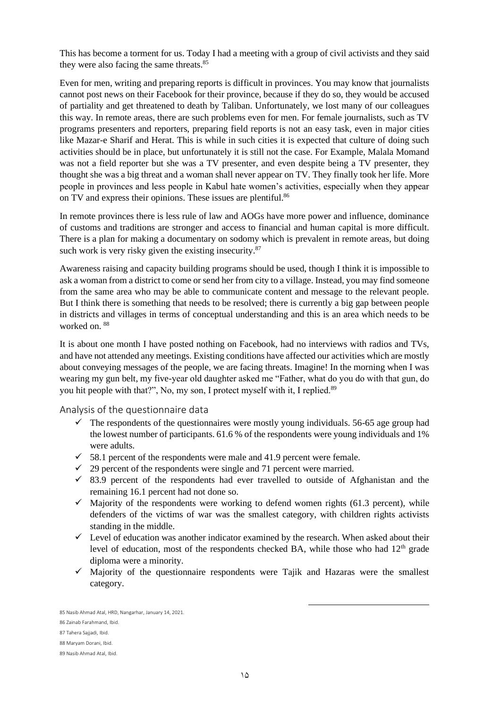This has become a torment for us. Today I had a meeting with a group of civil activists and they said they were also facing the same threats.<sup>85</sup>

Even for men, writing and preparing reports is difficult in provinces. You may know that journalists cannot post news on their Facebook for their province, because if they do so, they would be accused of partiality and get threatened to death by Taliban. Unfortunately, we lost many of our colleagues this way. In remote areas, there are such problems even for men. For female journalists, such as TV programs presenters and reporters, preparing field reports is not an easy task, even in major cities like Mazar-e Sharif and Herat. This is while in such cities it is expected that culture of doing such activities should be in place, but unfortunately it is still not the case. For Example, Malala Momand was not a field reporter but she was a TV presenter, and even despite being a TV presenter, they thought she was a big threat and a woman shall never appear on TV. They finally took her life. More people in provinces and less people in Kabul hate women's activities, especially when they appear on TV and express their opinions. These issues are plentiful.<sup>86</sup>

In remote provinces there is less rule of law and AOGs have more power and influence, dominance of customs and traditions are stronger and access to financial and human capital is more difficult. There is a plan for making a documentary on sodomy which is prevalent in remote areas, but doing such work is very risky given the existing insecurity.<sup>87</sup>

Awareness raising and capacity building programs should be used, though I think it is impossible to ask a woman from a district to come or send her from city to a village. Instead, you may find someone from the same area who may be able to communicate content and message to the relevant people. But I think there is something that needs to be resolved; there is currently a big gap between people in districts and villages in terms of conceptual understanding and this is an area which needs to be worked on. 88

It is about one month I have posted nothing on Facebook, had no interviews with radios and TVs, and have not attended any meetings. Existing conditions have affected our activities which are mostly about conveying messages of the people, we are facing threats. Imagine! In the morning when I was wearing my gun belt, my five-year old daughter asked me "Father, what do you do with that gun, do you hit people with that?", No, my son, I protect myself with it, I replied.<sup>89</sup>

<span id="page-14-0"></span>Analysis of the questionnaire data

- $\checkmark$  The respondents of the questionnaires were mostly young individuals. 56-65 age group had the lowest number of participants. 61.6 % of the respondents were young individuals and 1% were adults.
- $\checkmark$  58.1 percent of the respondents were male and 41.9 percent were female.
- $\checkmark$  29 percent of the respondents were single and 71 percent were married.
- $\checkmark$  83.9 percent of the respondents had ever travelled to outside of Afghanistan and the remaining 16.1 percent had not done so.
- $\checkmark$  Majority of the respondents were working to defend women rights (61.3 percent), while defenders of the victims of war was the smallest category, with children rights activists standing in the middle.
- $\checkmark$  Level of education was another indicator examined by the research. When asked about their level of education, most of the respondents checked BA, while those who had  $12<sup>th</sup>$  grade diploma were a minority.
- $\checkmark$  Majority of the questionnaire respondents were Tajik and Hazaras were the smallest category.

<sup>85</sup> Nasib Ahmad Atal, HRD, Nangarhar, January 14, 2021.

<sup>86</sup> Zainab Farahmand, Ibid.

<sup>87</sup> Tahera Sajjadi, Ibid.

<sup>88</sup> Maryam Dorani, Ibid.

<sup>89</sup> Nasib Ahmad Atal, Ibid.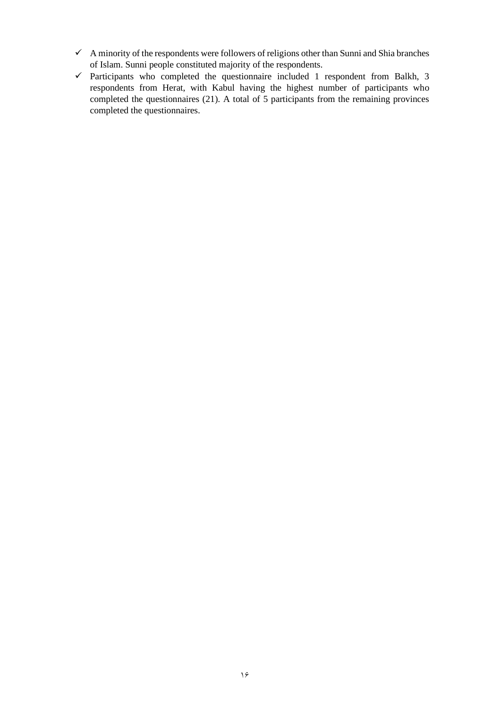- $\checkmark$  A minority of the respondents were followers of religions other than Sunni and Shia branches of Islam. Sunni people constituted majority of the respondents.
- ✓ Participants who completed the questionnaire included 1 respondent from Balkh, 3 respondents from Herat, with Kabul having the highest number of participants who completed the questionnaires (21). A total of 5 participants from the remaining provinces completed the questionnaires.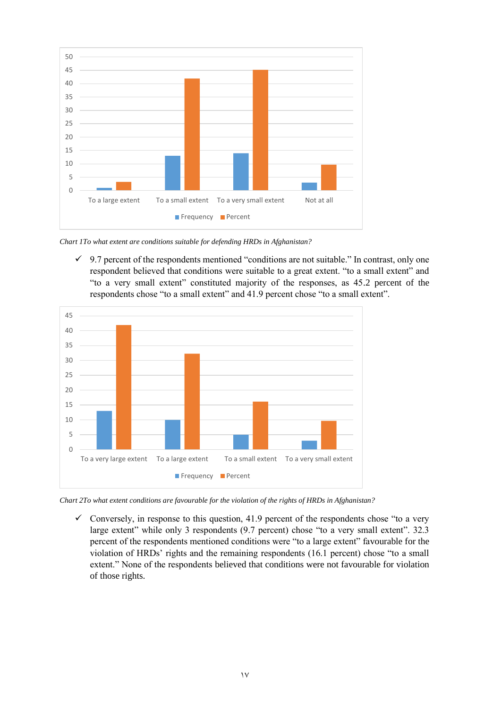

*Chart 1To what extent are conditions suitable for defending HRDs in Afghanistan?*

 $\checkmark$  9.7 percent of the respondents mentioned "conditions are not suitable." In contrast, only one respondent believed that conditions were suitable to a great extent. "to a small extent" and "to a very small extent" constituted majority of the responses, as 45.2 percent of the respondents chose "to a small extent" and 41.9 percent chose "to a small extent".



*Chart 2To what extent conditions are favourable for the violation of the rights of HRDs in Afghanistan?*

 $\checkmark$  Conversely, in response to this question, 41.9 percent of the respondents chose "to a very large extent" while only 3 respondents (9.7 percent) chose "to a very small extent". 32.3 percent of the respondents mentioned conditions were "to a large extent" favourable for the violation of HRDs' rights and the remaining respondents (16.1 percent) chose "to a small extent." None of the respondents believed that conditions were not favourable for violation of those rights.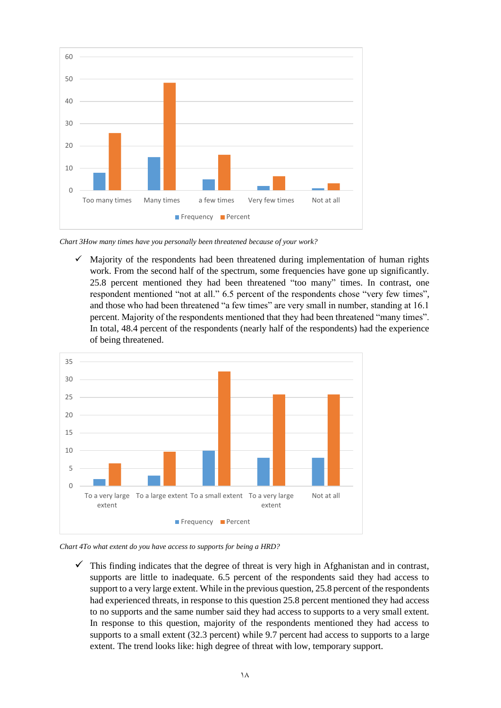

*Chart 3How many times have you personally been threatened because of your work?*

 $\checkmark$  Majority of the respondents had been threatened during implementation of human rights work. From the second half of the spectrum, some frequencies have gone up significantly. 25.8 percent mentioned they had been threatened "too many" times. In contrast, one respondent mentioned "not at all." 6.5 percent of the respondents chose "very few times", and those who had been threatened "a few times" are very small in number, standing at 16.1 percent. Majority of the respondents mentioned that they had been threatened "many times". In total, 48.4 percent of the respondents (nearly half of the respondents) had the experience of being threatened.



*Chart 4To what extent do you have access to supports for being a HRD?*

 $\checkmark$  This finding indicates that the degree of threat is very high in Afghanistan and in contrast, supports are little to inadequate. 6.5 percent of the respondents said they had access to support to a very large extent. While in the previous question, 25.8 percent of the respondents had experienced threats, in response to this question 25.8 percent mentioned they had access to no supports and the same number said they had access to supports to a very small extent. In response to this question, majority of the respondents mentioned they had access to supports to a small extent (32.3 percent) while 9.7 percent had access to supports to a large extent. The trend looks like: high degree of threat with low, temporary support.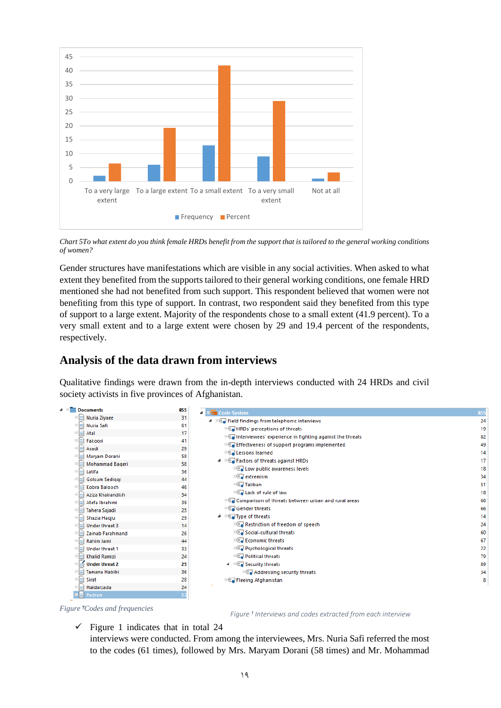

*Chart 5To what extent do you think female HRDs benefit from the support that is tailored to the general working conditions of women?*

Gender structures have manifestations which are visible in any social activities. When asked to what extent they benefited from the supports tailored to their general working conditions, one female HRD mentioned she had not benefited from such support. This respondent believed that women were not benefiting from this type of support. In contrast, two respondent said they benefited from this type of support to a large extent. Majority of the respondents chose to a small extent (41.9 percent). To a very small extent and to a large extent were chosen by 29 and 19.4 percent of the respondents, respectively.

## <span id="page-18-0"></span>**Analysis of the data drawn from interviews**

Qualitative findings were drawn from the in-depth interviews conducted with 24 HRDs and civil society activists in five provinces of Afghanistan.



#### *Figure*<sup>*r*</sup>Codes and frequencies</sub>

*Figure*<sup>1</sup> *Interviews and codes extracted from each interview*

 $\checkmark$  Figure 1 indicates that in total 24

interviews were conducted. From among the interviewees, Mrs. Nuria Safi referred the most to the codes (61 times), followed by Mrs. Maryam Dorani (58 times) and Mr. Mohammad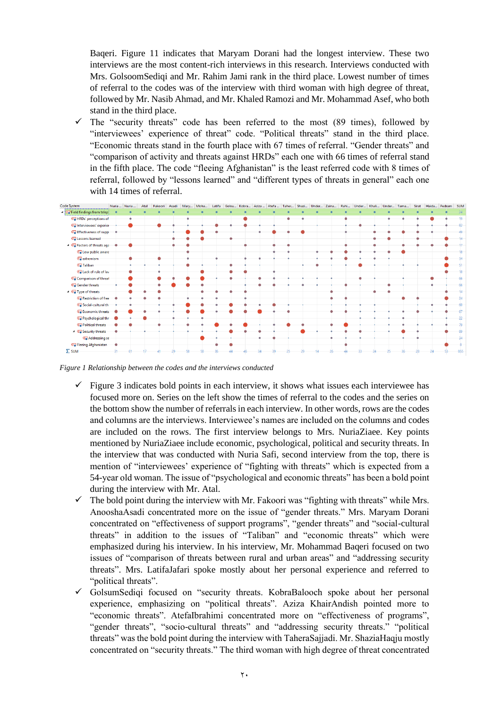Baqeri. Figure 11 indicates that Maryam Dorani had the longest interview. These two interviews are the most content-rich interviews in this research. Interviews conducted with Mrs. GolsoomSediqi and Mr. Rahim Jami rank in the third place. Lowest number of times of referral to the codes was of the interview with third woman with high degree of threat, followed by Mr. Nasib Ahmad, and Mr. Khaled Ramozi and Mr. Mohammad Asef, who both stand in the third place.

 $\checkmark$  The "security threats" code has been referred to the most (89 times), followed by "interviewees' experience of threat" code. "Political threats" stand in the third place. "Economic threats stand in the fourth place with 67 times of referral. "Gender threats" and "comparison of activity and threats against HRDs" each one with 66 times of referral stand in the fifth place. The code "fleeing Afghanistan" is the least referred code with 8 times of referral, followed by "lessons learned" and "different types of threats in general" each one with 14 times of referral.



<span id="page-19-0"></span>*Figure 1 Relationship between the codes and the interviews conducted*

- $\checkmark$  Figure 3 indicates bold points in each interview, it shows what issues each interviewee has focused more on. Series on the left show the times of referral to the codes and the series on the bottom show the number of referrals in each interview. In other words, rows are the codes and columns are the interviews. Interviewee's names are included on the columns and codes are included on the rows. The first interview belongs to Mrs. NuriaZiaee. Key points mentioned by NuriaZiaee include economic, psychological, political and security threats. In the interview that was conducted with Nuria Safi, second interview from the top, there is mention of "interviewees' experience of "fighting with threats" which is expected from a 54-year old woman. The issue of "psychological and economic threats" has been a bold point during the interview with Mr. Atal.
- $\checkmark$  The bold point during the interview with Mr. Fakoori was "fighting with threats" while Mrs. AnooshaAsadi concentrated more on the issue of "gender threats." Mrs. Maryam Dorani concentrated on "effectiveness of support programs", "gender threats" and "social-cultural threats" in addition to the issues of "Taliban" and "economic threats" which were emphasized during his interview. In his interview, Mr. Mohammad Baqeri focused on two issues of "comparison of threats between rural and urban areas" and "addressing security threats". Mrs. LatifaJafari spoke mostly about her personal experience and referred to "political threats".
- ✓ GolsumSediqi focused on "security threats. KobraBalooch spoke about her personal experience, emphasizing on "political threats". Aziza KhairAndish pointed more to "economic threats". AtefaIbrahimi concentrated more on "effectiveness of programs", "gender threats", "socio-cultural threats" and "addressing security threats." "political threats" was the bold point during the interview with TaheraSajjadi. Mr. ShaziaHaqju mostly concentrated on "security threats." The third woman with high degree of threat concentrated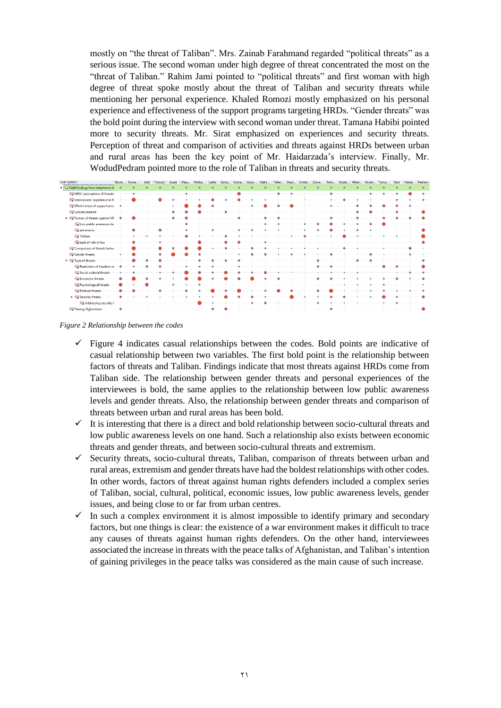mostly on "the threat of Taliban". Mrs. Zainab Farahmand regarded "political threats" as a serious issue. The second woman under high degree of threat concentrated the most on the "threat of Taliban." Rahim Jami pointed to "political threats" and first woman with high degree of threat spoke mostly about the threat of Taliban and security threats while mentioning her personal experience. Khaled Romozi mostly emphasized on his personal experience and effectiveness of the support programs targeting HRDs. "Gender threats" was the bold point during the interview with second woman under threat. Tamana Habibi pointed more to security threats. Mr. Sirat emphasized on experiences and security threats. Perception of threat and comparison of activities and threats against HRDs between urban and rural areas has been the key point of Mr. Haidarzada's interview. Finally, Mr. WodudPedram pointed more to the role of Taliban in threats and security threats.



<span id="page-20-0"></span>*Figure 2 Relationship between the codes*

- $\checkmark$  Figure 4 indicates casual relationships between the codes. Bold points are indicative of casual relationship between two variables. The first bold point is the relationship between factors of threats and Taliban. Findings indicate that most threats against HRDs come from Taliban side. The relationship between gender threats and personal experiences of the interviewees is bold, the same applies to the relationship between low public awareness levels and gender threats. Also, the relationship between gender threats and comparison of threats between urban and rural areas has been bold.
- $\checkmark$  It is interesting that there is a direct and bold relationship between socio-cultural threats and low public awareness levels on one hand. Such a relationship also exists between economic threats and gender threats, and between socio-cultural threats and extremism.
- $\checkmark$  Security threats, socio-cultural threats, Taliban, comparison of threats between urban and rural areas, extremism and gender threats have had the boldest relationships with other codes. In other words, factors of threat against human rights defenders included a complex series of Taliban, social, cultural, political, economic issues, low public awareness levels, gender issues, and being close to or far from urban centres.
- $\checkmark$  In such a complex environment it is almost impossible to identify primary and secondary factors, but one things is clear: the existence of a war environment makes it difficult to trace any causes of threats against human rights defenders. On the other hand, interviewees associated the increase in threats with the peace talks of Afghanistan, and Taliban's intention of gaining privileges in the peace talks was considered as the main cause of such increase.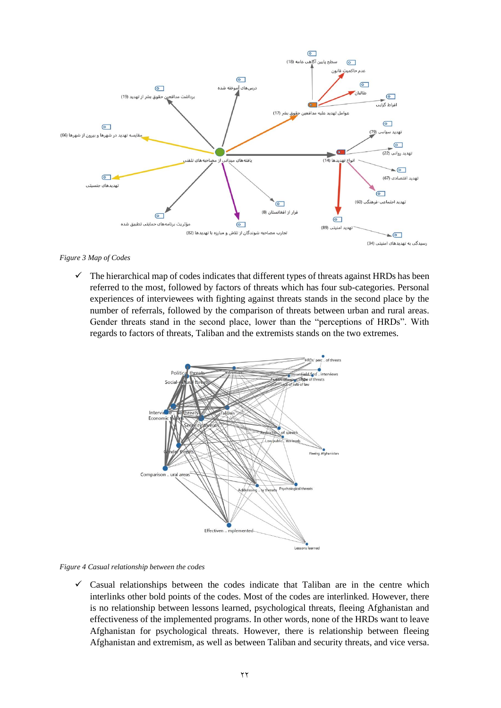

#### <span id="page-21-0"></span>*Figure 3 Map of Codes*

 $\checkmark$  The hierarchical map of codes indicates that different types of threats against HRDs has been referred to the most, followed by factors of threats which has four sub-categories. Personal experiences of interviewees with fighting against threats stands in the second place by the number of referrals, followed by the comparison of threats between urban and rural areas. Gender threats stand in the second place, lower than the "perceptions of HRDs". With regards to factors of threats, Taliban and the extremists stands on the two extremes.



<span id="page-21-1"></span>*Figure 4 Casual relationship between the codes*

 $\checkmark$  Casual relationships between the codes indicate that Taliban are in the centre which interlinks other bold points of the codes. Most of the codes are interlinked. However, there is no relationship between lessons learned, psychological threats, fleeing Afghanistan and effectiveness of the implemented programs. In other words, none of the HRDs want to leave Afghanistan for psychological threats. However, there is relationship between fleeing Afghanistan and extremism, as well as between Taliban and security threats, and vice versa.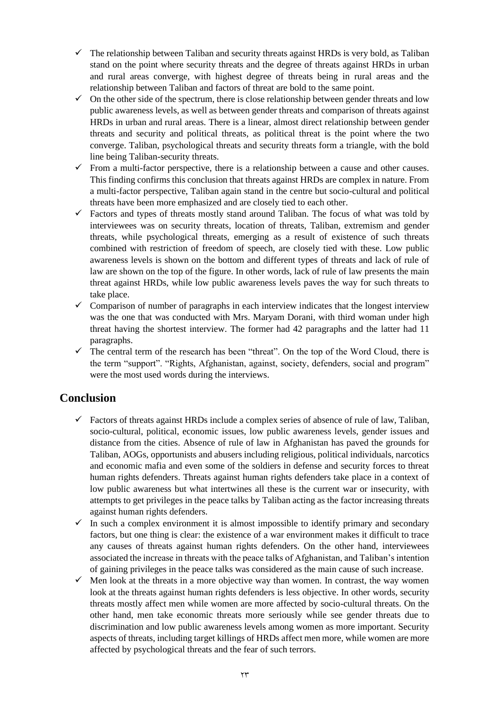- $\checkmark$  The relationship between Taliban and security threats against HRDs is very bold, as Taliban stand on the point where security threats and the degree of threats against HRDs in urban and rural areas converge, with highest degree of threats being in rural areas and the relationship between Taliban and factors of threat are bold to the same point.
- $\checkmark$  On the other side of the spectrum, there is close relationship between gender threats and low public awareness levels, as well as between gender threats and comparison of threats against HRDs in urban and rural areas. There is a linear, almost direct relationship between gender threats and security and political threats, as political threat is the point where the two converge. Taliban, psychological threats and security threats form a triangle, with the bold line being Taliban-security threats.
- $\checkmark$  From a multi-factor perspective, there is a relationship between a cause and other causes. This finding confirms this conclusion that threats against HRDs are complex in nature. From a multi-factor perspective, Taliban again stand in the centre but socio-cultural and political threats have been more emphasized and are closely tied to each other.
- $\checkmark$  Factors and types of threats mostly stand around Taliban. The focus of what was told by interviewees was on security threats, location of threats, Taliban, extremism and gender threats, while psychological threats, emerging as a result of existence of such threats combined with restriction of freedom of speech, are closely tied with these. Low public awareness levels is shown on the bottom and different types of threats and lack of rule of law are shown on the top of the figure. In other words, lack of rule of law presents the main threat against HRDs, while low public awareness levels paves the way for such threats to take place.
- $\checkmark$  Comparison of number of paragraphs in each interview indicates that the longest interview was the one that was conducted with Mrs. Maryam Dorani, with third woman under high threat having the shortest interview. The former had 42 paragraphs and the latter had 11 paragraphs.
- $\checkmark$  The central term of the research has been "threat". On the top of the Word Cloud, there is the term "support". "Rights, Afghanistan, against, society, defenders, social and program" were the most used words during the interviews.

# <span id="page-22-0"></span>**Conclusion**

- $\checkmark$  Factors of threats against HRDs include a complex series of absence of rule of law, Taliban, socio-cultural, political, economic issues, low public awareness levels, gender issues and distance from the cities. Absence of rule of law in Afghanistan has paved the grounds for Taliban, AOGs, opportunists and abusers including religious, political individuals, narcotics and economic mafia and even some of the soldiers in defense and security forces to threat human rights defenders. Threats against human rights defenders take place in a context of low public awareness but what intertwines all these is the current war or insecurity, with attempts to get privileges in the peace talks by Taliban acting as the factor increasing threats against human rights defenders.
- $\checkmark$  In such a complex environment it is almost impossible to identify primary and secondary factors, but one thing is clear: the existence of a war environment makes it difficult to trace any causes of threats against human rights defenders. On the other hand, interviewees associated the increase in threats with the peace talks of Afghanistan, and Taliban's intention of gaining privileges in the peace talks was considered as the main cause of such increase.
- $\checkmark$  Men look at the threats in a more objective way than women. In contrast, the way women look at the threats against human rights defenders is less objective. In other words, security threats mostly affect men while women are more affected by socio-cultural threats. On the other hand, men take economic threats more seriously while see gender threats due to discrimination and low public awareness levels among women as more important. Security aspects of threats, including target killings of HRDs affect men more, while women are more affected by psychological threats and the fear of such terrors.